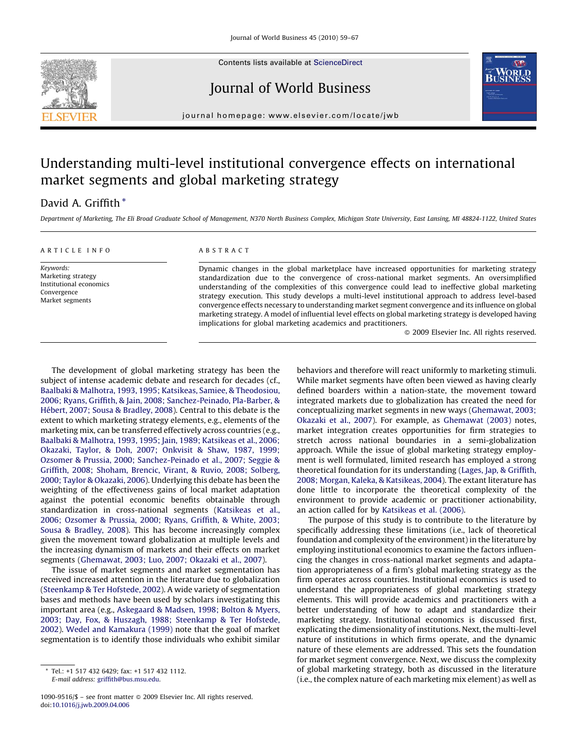

Contents lists available at [ScienceDirect](http://www.sciencedirect.com/science/journal/10909516)

Journal of World Business



journal homepage: www.el sevier.com/locate/jwb

## Understanding multi-level institutional convergence effects on international market segments and global marketing strategy

## David A. Griffith \*

Department of Marketing, The Eli Broad Graduate School of Management, N370 North Business Complex, Michigan State University, East Lansing, MI 48824-1122, United States

#### ARTICLE INFO

Keywords: Marketing strategy Institutional economics Convergence Market segments

## ABSTRACT

Dynamic changes in the global marketplace have increased opportunities for marketing strategy standardization due to the convergence of cross-national market segments. An oversimplified understanding of the complexities of this convergence could lead to ineffective global marketing strategy execution. This study develops a multi-level institutional approach to address level-based convergence effects necessary to understanding market segment convergence and its influence on global marketing strategy. A model of influential level effects on global marketing strategy is developed having implications for global marketing academics and practitioners.

 $\odot$  2009 Elsevier Inc. All rights reserved.

The development of global marketing strategy has been the subject of intense academic debate and research for decades (cf., [Baalbaki & Malhotra, 1993, 1995; Katsikeas, Samiee, & Theodosiou,](#page--1-0) [2006; Ryans, Griffith, & Jain, 2008; Sanchez-Peinado, Pla-Barber, &](#page--1-0) Hébert, 2007; Sousa & Bradley, 2008). Central to this debate is the extent to which marketing strategy elements, e.g., elements of the marketing mix, can be transferred effectively across countries (e.g., [Baalbaki & Malhotra, 1993, 1995; Jain, 1989; Katsikeas et al., 2006;](#page--1-0) [Okazaki, Taylor, & Doh, 2007; Onkvisit & Shaw, 1987, 1999;](#page--1-0) [Ozsomer & Prussia, 2000; Sanchez-Peinado et al., 2007; Seggie &](#page--1-0) [Griffith, 2008; Shoham, Brencic, Virant, & Ruvio, 2008; Solberg,](#page--1-0) [2000; Taylor & Okazaki, 2006](#page--1-0)). Underlying this debate has been the weighting of the effectiveness gains of local market adaptation against the potential economic benefits obtainable through standardization in cross-national segments ([Katsikeas et al.,](#page--1-0) [2006; Ozsomer & Prussia, 2000; Ryans, Griffith, & White, 2003;](#page--1-0) [Sousa & Bradley, 2008\)](#page--1-0). This has become increasingly complex given the movement toward globalization at multiple levels and the increasing dynamism of markets and their effects on market segments ([Ghemawat, 2003; Luo, 2007; Okazaki et al., 2007](#page--1-0)).

The issue of market segments and market segmentation has received increased attention in the literature due to globalization ([Steenkamp & Ter Hofstede, 2002\)](#page--1-0). A wide variety of segmentation bases and methods have been used by scholars investigating this important area (e.g., [Askegaard & Madsen, 1998; Bolton & Myers,](#page--1-0) [2003; Day, Fox, & Huszagh, 1988; Steenkamp & Ter Hofstede,](#page--1-0) [2002\)](#page--1-0). [Wedel and Kamakura \(1999\)](#page--1-0) note that the goal of market segmentation is to identify those individuals who exhibit similar

behaviors and therefore will react uniformly to marketing stimuli. While market segments have often been viewed as having clearly defined boarders within a nation-state, the movement toward integrated markets due to globalization has created the need for conceptualizing market segments in new ways ([Ghemawat, 2003;](#page--1-0) [Okazaki et al., 2007\)](#page--1-0). For example, as [Ghemawat \(2003\)](#page--1-0) notes, market integration creates opportunities for firm strategies to stretch across national boundaries in a semi-globalization approach. While the issue of global marketing strategy employment is well formulated, limited research has employed a strong theoretical foundation for its understanding [\(Lages, Jap, & Griffith,](#page--1-0) [2008; Morgan, Kaleka, & Katsikeas, 2004\)](#page--1-0). The extant literature has done little to incorporate the theoretical complexity of the environment to provide academic or practitioner actionability, an action called for by [Katsikeas et al. \(2006\)](#page--1-0).

The purpose of this study is to contribute to the literature by specifically addressing these limitations (i.e., lack of theoretical foundation and complexity of the environment) in the literature by employing institutional economics to examine the factors influencing the changes in cross-national market segments and adaptation appropriateness of a firm's global marketing strategy as the firm operates across countries. Institutional economics is used to understand the appropriateness of global marketing strategy elements. This will provide academics and practitioners with a better understanding of how to adapt and standardize their marketing strategy. Institutional economics is discussed first, explicating the dimensionality of institutions. Next, the multi-level nature of institutions in which firms operate, and the dynamic nature of these elements are addressed. This sets the foundation for market segment convergence. Next, we discuss the complexity of global marketing strategy, both as discussed in the literature (i.e., the complex nature of each marketing mix element) as well as

Tel.: +1 517 432 6429; fax: +1 517 432 1112. E-mail address: [griffith@bus.msu.edu](mailto:griffith@bus.msu.edu).

<sup>1090-9516/\$ -</sup> see front matter @ 2009 Elsevier Inc. All rights reserved. doi:[10.1016/j.jwb.2009.04.006](http://dx.doi.org/10.1016/j.jwb.2009.04.006)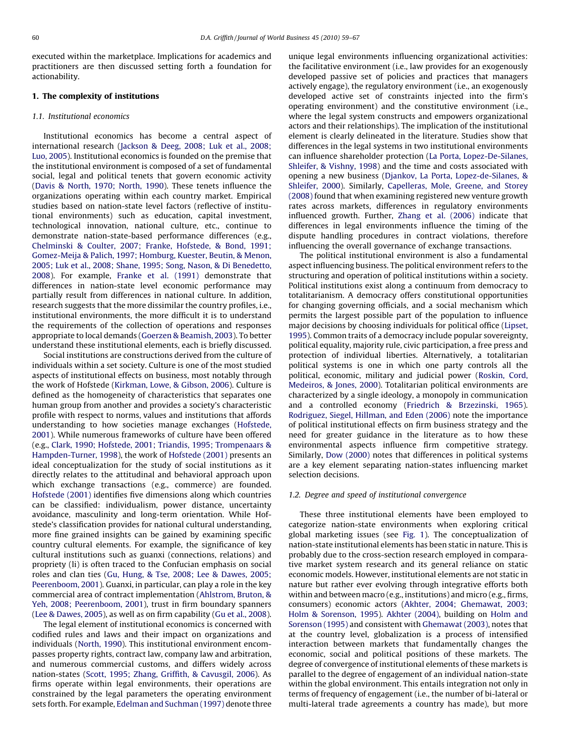executed within the marketplace. Implications for academics and practitioners are then discussed setting forth a foundation for actionability.

### 1. The complexity of institutions

#### 1.1. Institutional economics

Institutional economics has become a central aspect of international research [\(Jackson & Deeg, 2008; Luk et al., 2008;](#page--1-0) [Luo, 2005](#page--1-0)). Institutional economics is founded on the premise that the institutional environment is composed of a set of fundamental social, legal and political tenets that govern economic activity ([Davis & North, 1970; North, 1990\)](#page--1-0). These tenets influence the organizations operating within each country market. Empirical studies based on nation-state level factors (reflective of institutional environments) such as education, capital investment, technological innovation, national culture, etc., continue to demonstrate nation-state-based performance differences (e.g., [Chelminski & Coulter, 2007; Franke, Hofstede, & Bond, 1991;](#page--1-0) [Gomez-Meija & Palich, 1997; Homburg, Kuester, Beutin, & Menon,](#page--1-0) [2005; Luk et al., 2008; Shane, 1995; Song, Nason, & Di Benedetto,](#page--1-0) [2008\)](#page--1-0). For example, [Franke et al. \(1991\)](#page--1-0) demonstrate that differences in nation-state level economic performance may partially result from differences in national culture. In addition, research suggests that the more dissimilar the country profiles, i.e., institutional environments, the more difficult it is to understand the requirements of the collection of operations and responses appropriate to local demands [\(Goerzen & Beamish, 2003](#page--1-0)). To better understand these institutional elements, each is briefly discussed.

Social institutions are constructions derived from the culture of individuals within a set society. Culture is one of the most studied aspects of institutional effects on business, most notably through the work of Hofstede [\(Kirkman, Lowe, & Gibson, 2006](#page--1-0)). Culture is defined as the homogeneity of characteristics that separates one human group from another and provides a society's characteristic profile with respect to norms, values and institutions that affords understanding to how societies manage exchanges ([Hofstede,](#page--1-0) [2001\)](#page--1-0). While numerous frameworks of culture have been offered (e.g., [Clark, 1990; Hofstede, 2001; Triandis, 1995; Trompenaars &](#page--1-0) [Hampden-Turner, 1998\)](#page--1-0), the work of [Hofstede \(2001\)](#page--1-0) presents an ideal conceptualization for the study of social institutions as it directly relates to the attitudinal and behavioral approach upon which exchange transactions (e.g., commerce) are founded. [Hofstede \(2001\)](#page--1-0) identifies five dimensions along which countries can be classified: individualism, power distance, uncertainty avoidance, masculinity and long-term orientation. While Hofstede's classification provides for national cultural understanding, more fine grained insights can be gained by examining specific country cultural elements. For example, the significance of key cultural institutions such as guanxi (connections, relations) and propriety (li) is often traced to the Confucian emphasis on social roles and clan ties [\(Gu, Hung, & Tse, 2008; Lee & Dawes, 2005;](#page--1-0) [Peerenboom, 2001](#page--1-0)). Guanxi, in particular, can play a role in the key commercial area of contract implementation [\(Ahlstrom, Bruton, &](#page--1-0) [Yeh, 2008; Peerenboom, 2001\)](#page--1-0), trust in firm boundary spanners ([Lee & Dawes, 2005\)](#page--1-0), as well as on firm capability ([Gu et al., 2008\)](#page--1-0).

The legal element of institutional economics is concerned with codified rules and laws and their impact on organizations and individuals ([North, 1990\)](#page--1-0). This institutional environment encompasses property rights, contract law, company law and arbitration, and numerous commercial customs, and differs widely across nation-states [\(Scott, 1995; Zhang, Griffith, & Cavusgil, 2006](#page--1-0)). As firms operate within legal environments, their operations are constrained by the legal parameters the operating environment sets forth. For example, [Edelman and Suchman \(1997\)](#page--1-0) denote three unique legal environments influencing organizational activities: the facilitative environment (i.e., law provides for an exogenously developed passive set of policies and practices that managers actively engage), the regulatory environment (i.e., an exogenously developed active set of constraints injected into the firm's operating environment) and the constitutive environment (i.e., where the legal system constructs and empowers organizational actors and their relationships). The implication of the institutional element is clearly delineated in the literature. Studies show that differences in the legal systems in two institutional environments can influence shareholder protection [\(La Porta, Lopez-De-Silanes,](#page--1-0) [Shleifer, & Vishny, 1998\)](#page--1-0) and the time and costs associated with opening a new business ([Djankov, La Porta, Lopez-de-Silanes, &](#page--1-0) [Shleifer, 2000\)](#page--1-0). Similarly, [Capelleras, Mole, Greene, and Storey](#page--1-0) [\(2008\)](#page--1-0) found that when examining registered new venture growth rates across markets, differences in regulatory environments influenced growth. Further, [Zhang et al. \(2006\)](#page--1-0) indicate that differences in legal environments influence the timing of the dispute handling procedures in contract violations, therefore influencing the overall governance of exchange transactions.

The political institutional environment is also a fundamental aspect influencing business. The political environment refers to the structuring and operation of political institutions within a society. Political institutions exist along a continuum from democracy to totalitarianism. A democracy offers constitutional opportunities for changing governing officials, and a social mechanism which permits the largest possible part of the population to influence major decisions by choosing individuals for political office [\(Lipset,](#page--1-0) [1995](#page--1-0)). Common traits of a democracy include popular sovereignty, political equality, majority rule, civic participation, a free press and protection of individual liberties. Alternatively, a totalitarian political systems is one in which one party controls all the political, economic, military and judicial power ([Roskin, Cord,](#page--1-0) [Medeiros, & Jones, 2000](#page--1-0)). Totalitarian political environments are characterized by a single ideology, a monopoly in communication and a controlled economy ([Friedrich & Brzezinski, 1965\)](#page--1-0). [Rodriguez, Siegel, Hillman, and Eden \(2006\)](#page--1-0) note the importance of political institutional effects on firm business strategy and the need for greater guidance in the literature as to how these environmental aspects influence firm competitive strategy. Similarly, [Dow \(2000\)](#page--1-0) notes that differences in political systems are a key element separating nation-states influencing market selection decisions.

#### 1.2. Degree and speed of institutional convergence

These three institutional elements have been employed to categorize nation-state environments when exploring critical global marketing issues (see [Fig. 1](#page--1-0)). The conceptualization of nation-state institutional elements has been static in nature. This is probably due to the cross-section research employed in comparative market system research and its general reliance on static economic models. However, institutional elements are not static in nature but rather ever evolving through integrative efforts both within and between macro (e.g., institutions) and micro (e.g., firms, consumers) economic actors [\(Akhter, 2004; Ghemawat, 2003;](#page--1-0) [Holm & Sorenson, 1995\)](#page--1-0). [Akhter \(2004\)](#page--1-0), building on [Holm and](#page--1-0) [Sorenson \(1995\)](#page--1-0) and consistent with [Ghemawat \(2003\),](#page--1-0) notes that at the country level, globalization is a process of intensified interaction between markets that fundamentally changes the economic, social and political positions of these markets. The degree of convergence of institutional elements of these markets is parallel to the degree of engagement of an individual nation-state within the global environment. This entails integration not only in terms of frequency of engagement (i.e., the number of bi-lateral or multi-lateral trade agreements a country has made), but more